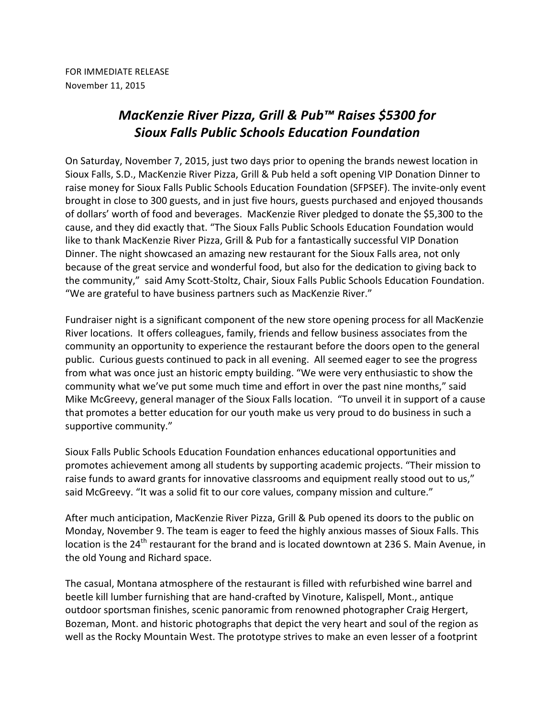FOR IMMEDIATE RELEASE November 11, 2015

## *MacKenzie River Pizza, Grill & Pub™ Raises \$5300 for Sioux Falls Public Schools Education Foundation*

On Saturday, November 7, 2015, just two days prior to opening the brands newest location in Sioux Falls, S.D., MacKenzie River Pizza, Grill & Pub held a soft opening VIP Donation Dinner to raise money for Sioux Falls Public Schools Education Foundation (SFPSEF). The invite-only event brought in close to 300 guests, and in just five hours, guests purchased and enjoyed thousands of dollars' worth of food and beverages. MacKenzie River pledged to donate the \$5,300 to the cause, and they did exactly that. "The Sioux Falls Public Schools Education Foundation would like to thank MacKenzie River Pizza, Grill & Pub for a fantastically successful VIP Donation Dinner. The night showcased an amazing new restaurant for the Sioux Falls area, not only because of the great service and wonderful food, but also for the dedication to giving back to the community," said Amy Scott-Stoltz, Chair, Sioux Falls Public Schools Education Foundation. "We are grateful to have business partners such as MacKenzie River."

Fundraiser night is a significant component of the new store opening process for all MacKenzie River locations. It offers colleagues, family, friends and fellow business associates from the community an opportunity to experience the restaurant before the doors open to the general public. Curious guests continued to pack in all evening. All seemed eager to see the progress from what was once just an historic empty building. "We were very enthusiastic to show the community what we've put some much time and effort in over the past nine months," said Mike McGreevy, general manager of the Sioux Falls location. "To unveil it in support of a cause that promotes a better education for our youth make us very proud to do business in such a supportive community."

Sioux Falls Public Schools Education Foundation enhances educational opportunities and promotes achievement among all students by supporting academic projects. "Their mission to raise funds to award grants for innovative classrooms and equipment really stood out to us," said McGreevy. "It was a solid fit to our core values, company mission and culture."

After much anticipation, MacKenzie River Pizza, Grill & Pub opened its doors to the public on Monday, November 9. The team is eager to feed the highly anxious masses of Sioux Falls. This location is the 24<sup>th</sup> restaurant for the brand and is located downtown at 236 S. Main Avenue, in the old Young and Richard space.

The casual, Montana atmosphere of the restaurant is filled with refurbished wine barrel and beetle kill lumber furnishing that are hand-crafted by Vinoture, Kalispell, Mont., antique outdoor sportsman finishes, scenic panoramic from renowned photographer Craig Hergert, Bozeman, Mont. and historic photographs that depict the very heart and soul of the region as well as the Rocky Mountain West. The prototype strives to make an even lesser of a footprint